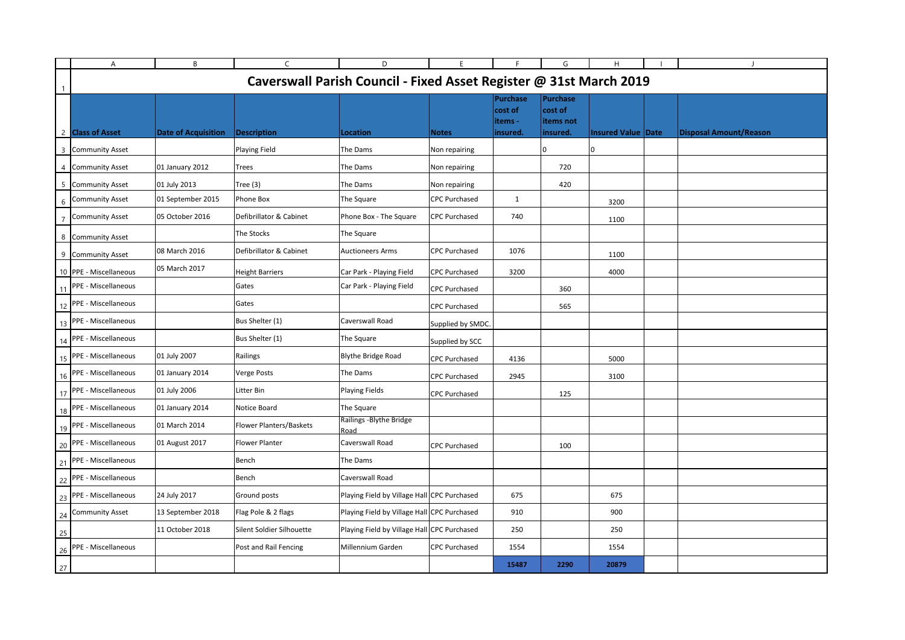|    | Α                                                                  | В                          | C                         | D                                           | E.                   | F                                     | G                                       | Н                  |  |                               |  |
|----|--------------------------------------------------------------------|----------------------------|---------------------------|---------------------------------------------|----------------------|---------------------------------------|-----------------------------------------|--------------------|--|-------------------------------|--|
|    | Caverswall Parish Council - Fixed Asset Register @ 31st March 2019 |                            |                           |                                             |                      |                                       |                                         |                    |  |                               |  |
| -1 |                                                                    |                            |                           |                                             |                      | <b>Purchase</b><br>cost of<br>items - | <b>Purchase</b><br>cost of<br>items not |                    |  |                               |  |
|    | 2 Class of Asset                                                   | <b>Date of Acquisition</b> | <b>Description</b>        | Location                                    | <b>Notes</b>         | insured.                              | insured.                                | Insured Value Date |  | <b>Disposal Amount/Reason</b> |  |
|    | 3 Community Asset                                                  |                            | <b>Playing Field</b>      | The Dams                                    | Non repairing        |                                       |                                         | 0                  |  |                               |  |
|    | 4 Community Asset                                                  | 01 January 2012            | Trees                     | The Dams                                    | Non repairing        |                                       | 720                                     |                    |  |                               |  |
|    | 5 Community Asset                                                  | 01 July 2013               | Tree $(3)$                | The Dams                                    | Non repairing        |                                       | 420                                     |                    |  |                               |  |
|    | <b>Community Asset</b>                                             | 01 September 2015          | Phone Box                 | The Square                                  | <b>CPC Purchased</b> | $\mathbf{1}$                          |                                         | 3200               |  |                               |  |
|    | <b>Community Asset</b>                                             | 05 October 2016            | Defibrillator & Cabinet   | Phone Box - The Square                      | <b>CPC Purchased</b> | 740                                   |                                         | 1100               |  |                               |  |
| 8  | <b>Community Asset</b>                                             |                            | The Stocks                | The Square                                  |                      |                                       |                                         |                    |  |                               |  |
|    | 9 Community Asset                                                  | 08 March 2016              | Defibrillator & Cabinet   | <b>Auctioneers Arms</b>                     | <b>CPC Purchased</b> | 1076                                  |                                         | 1100               |  |                               |  |
|    | 10 PPE - Miscellaneous                                             | 05 March 2017              | <b>Height Barriers</b>    | Car Park - Playing Field                    | <b>CPC Purchased</b> | 3200                                  |                                         | 4000               |  |                               |  |
| 11 | PPE - Miscellaneous                                                |                            | Gates                     | Car Park - Playing Field                    | <b>CPC Purchased</b> |                                       | 360                                     |                    |  |                               |  |
| 12 | PPE - Miscellaneous                                                |                            | Gates                     |                                             | <b>CPC Purchased</b> |                                       | 565                                     |                    |  |                               |  |
| 13 | PPE - Miscellaneous                                                |                            | Bus Shelter (1)           | Caverswall Road                             | Supplied by SMDC.    |                                       |                                         |                    |  |                               |  |
| 14 | PPE - Miscellaneous                                                |                            | Bus Shelter (1)           | The Square                                  | Supplied by SCC      |                                       |                                         |                    |  |                               |  |
| 15 | PPE - Miscellaneous                                                | 01 July 2007               | Railings                  | <b>Blythe Bridge Road</b>                   | <b>CPC Purchased</b> | 4136                                  |                                         | 5000               |  |                               |  |
| 16 | PPE - Miscellaneous                                                | 01 January 2014            | Verge Posts               | The Dams                                    | <b>CPC Purchased</b> | 2945                                  |                                         | 3100               |  |                               |  |
|    | 17 PPE - Miscellaneous                                             | 01 July 2006               | Litter Bin                | <b>Playing Fields</b>                       | <b>CPC Purchased</b> |                                       | 125                                     |                    |  |                               |  |
|    | 18 PPE - Miscellaneous                                             | 01 January 2014            | Notice Board              | The Square                                  |                      |                                       |                                         |                    |  |                               |  |
|    | 19 PPE - Miscellaneous                                             | 01 March 2014              | Flower Planters/Baskets   | Railings - Blythe Bridge<br>Road            |                      |                                       |                                         |                    |  |                               |  |
|    | 20 PPE - Miscellaneous                                             | 01 August 2017             | <b>Flower Planter</b>     | Caverswall Road                             | <b>CPC Purchased</b> |                                       | 100                                     |                    |  |                               |  |
| 21 | PPE - Miscellaneous                                                |                            | Bench                     | The Dams                                    |                      |                                       |                                         |                    |  |                               |  |
|    | 22 PPE - Miscellaneous                                             |                            | Bench                     | Caverswall Road                             |                      |                                       |                                         |                    |  |                               |  |
|    | 23 PPE - Miscellaneous                                             | 24 July 2017               | Ground posts              | Playing Field by Village Hall CPC Purchased |                      | 675                                   |                                         | 675                |  |                               |  |
|    | 24 Community Asset                                                 | 13 September 2018          | Flag Pole & 2 flags       | Playing Field by Village Hall CPC Purchased |                      | 910                                   |                                         | 900                |  |                               |  |
| 25 |                                                                    | 11 October 2018            | Silent Soldier Silhouette | Playing Field by Village Hall CPC Purchased |                      | 250                                   |                                         | 250                |  |                               |  |
| 26 | PPE - Miscellaneous                                                |                            | Post and Rail Fencing     | Millennium Garden                           | <b>CPC Purchased</b> | 1554                                  |                                         | 1554               |  |                               |  |
| 27 |                                                                    |                            |                           |                                             |                      | 15487                                 | 2290                                    | 20879              |  |                               |  |